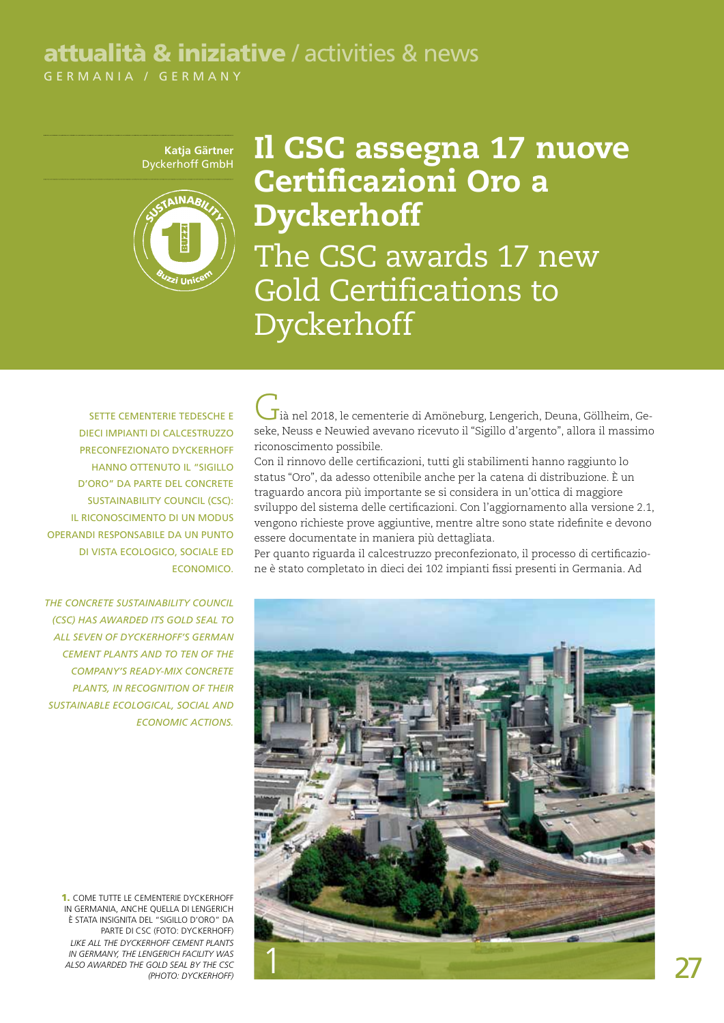## attualità & iniziative / activities & news

GERMANIA / GERMANY

**Katja Gärtner** Dyckerhoff GmbH



## Il CSC assegna 17 nuove Certificazioni Oro a Dyckerhoff The CSC awards 17 new Gold Certifications to Dyckerhoff

SETTE CEMENTERIE TEDESCHE E dieci impianti di calcestruzzo preconfezionato Dyckerhoff hanno ottenuto il "Sigillo d'oro" da parte del Concrete Sustainability Council (CSC): il riconoscimento di un modus operandi responsabile da un punto di vista ecologico, sociale ed economico.

*The Concrete Sustainability Council (CSC) has awarded its Gold Seal to all seven of Dyckerhoff's German cement plants and to ten of the company's ready-mix concrete plants, in recognition of their sustainable ecological, social and economic actions.*

1. Come tutte le cementerie Dyckerhoff in Germania, anche quella di Lengerich è stata insignita del "Sigillo d'oro" da parte di CSC (Foto: Dyckerhoff) *Like all the Dyckerhoff cement plants in Germany, the Lengerich facility was also awarded the Gold Seal by the CSC (Photo: Dyckerhoff)*

 $\mathbf J$ ià nel 2018, le cementerie di Amöneburg, Lengerich, Deuna, Göllheim, Geseke, Neuss e Neuwied avevano ricevuto il "Sigillo d'argento", allora il massimo riconoscimento possibile.

Con il rinnovo delle certificazioni, tutti gli stabilimenti hanno raggiunto lo status "Oro", da adesso ottenibile anche per la catena di distribuzione. È un traguardo ancora più importante se si considera in un'ottica di maggiore sviluppo del sistema delle certificazioni. Con l'aggiornamento alla versione 2.1, vengono richieste prove aggiuntive, mentre altre sono state ridefinite e devono essere documentate in maniera più dettagliata.

Per quanto riguarda il calcestruzzo preconfezionato, il processo di certificazione è stato completato in dieci dei 102 impianti fissi presenti in Germania. Ad